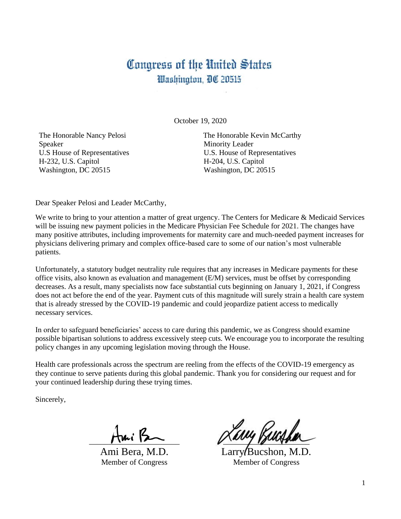## Congress of the United States Washington, DC 20515

October 19, 2020

The Honorable Nancy Pelosi Speaker U.S House of Representatives H-232, U.S. Capitol Washington, DC 20515

The Honorable Kevin McCarthy Minority Leader U.S. House of Representatives H-204, U.S. Capitol Washington, DC 20515

Dear Speaker Pelosi and Leader McCarthy,

We write to bring to your attention a matter of great urgency. The Centers for Medicare & Medicaid Services will be issuing new payment policies in the Medicare Physician Fee Schedule for 2021. The changes have many positive attributes, including improvements for maternity care and much-needed payment increases for physicians delivering primary and complex office-based care to some of our nation's most vulnerable patients.

Unfortunately, a statutory budget neutrality rule requires that any increases in Medicare payments for these office visits, also known as evaluation and management (E/M) services, must be offset by corresponding decreases. As a result, many specialists now face substantial cuts beginning on January 1, 2021, if Congress does not act before the end of the year. Payment cuts of this magnitude will surely strain a health care system that is already stressed by the COVID-19 pandemic and could jeopardize patient access to medically necessary services.

In order to safeguard beneficiaries' access to care during this pandemic, we as Congress should examine possible bipartisan solutions to address excessively steep cuts. We encourage you to incorporate the resulting policy changes in any upcoming legislation moving through the House.

Health care professionals across the spectrum are reeling from the effects of the COVID-19 emergency as they continue to serve patients during this global pandemic. Thank you for considering our request and for your continued leadership during these trying times.

Sincerely,

 $A$ mi $B$ 

Ami Bera, M.D. Member of Congress

Lary Pucsher

Larry Bucshon, M.D. Member of Congress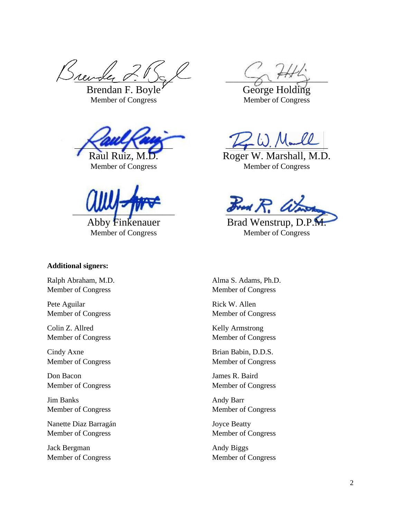Brewder

Brendan F. Boyle Member of Congress



Member of Congress

 $\sim$ 

Abby Finkenauer Member of Congress

## **Additional signers:**

Ralph Abraham, M.D. Member of Congress

Pete Aguilar Member of Congress

Colin Z. Allred Member of Congress

Cindy Axne Member of Congress

Don Bacon Member of Congress

Jim Banks Member of Congress

Nanette Diaz Barragán Member of Congress

Jack Bergman Member of Congress

 $\rightarrow$ 

George Holding Member of Congress

 $K_p = 00.7$  Younce

Roger W. Marshall, M.D. Member of Congress

 $\cancel{x_{\text{red}}}$   $\cancel{R}$ .

Brad Wenstrup, D.P. Member of Congress

Alma S. Adams, Ph.D. Member of Congress

Rick W. Allen Member of Congress

Kelly Armstrong Member of Congress

Brian Babin, D.D.S. Member of Congress

James R. Baird Member of Congress

Andy Barr Member of Congress

Joyce Beatty Member of Congress

Andy Biggs Member of Congress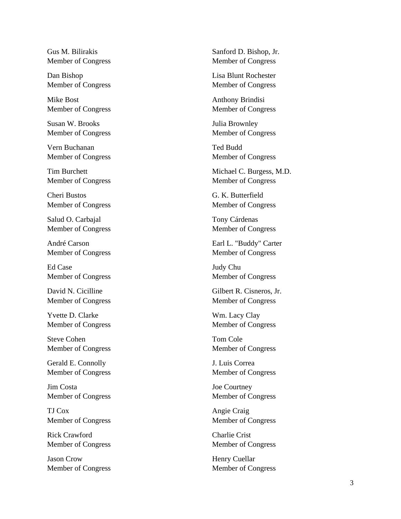Gus M. Bilirakis Member of Congress

Dan Bishop Member of Congress

Mike Bost Member of Congress

Susan W. Brooks Member of Congress

Vern Buchanan Member of Congress

Tim Burchett Member of Congress

Cheri Bustos Member of Congress

Salud O. Carbajal Member of Congress

André Carson Member of Congress

Ed Case Member of Congress

David N. Cicilline Member of Congress

Yvette D. Clarke Member of Congress

Steve Cohen Member of Congress

Gerald E. Connolly Member of Congress

Jim Costa Member of Congress

TJ Cox Member of Congress

Rick Crawford Member of Congress

Jason Crow Member of Congress Sanford D. Bishop, Jr. Member of Congress

Lisa Blunt Rochester Member of Congress

Anthony Brindisi Member of Congress

Julia Brownley Member of Congress

Ted Budd Member of Congress

Michael C. Burgess, M.D. Member of Congress

G. K. Butterfield Member of Congress

Tony Cárdenas Member of Congress

Earl L. "Buddy" Carter Member of Congress

Judy Chu Member of Congress

Gilbert R. Cisneros, Jr. Member of Congress

Wm. Lacy Clay Member of Congress

Tom Cole Member of Congress

J. Luis Correa Member of Congress

Joe Courtney Member of Congress

Angie Craig Member of Congress

Charlie Crist Member of Congress

Henry Cuellar Member of Congress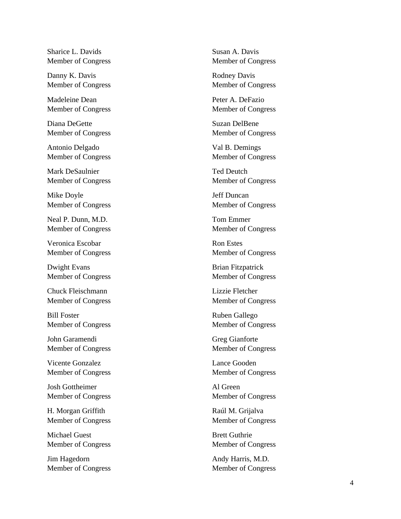Sharice L. Davids Member of Congress

Danny K. Davis Member of Congress

Madeleine Dean Member of Congress

Diana DeGette Member of Congress

Antonio Delgado Member of Congress

Mark DeSaulnier Member of Congress

Mike Doyle Member of Congress

Neal P. Dunn, M.D. Member of Congress

Veronica Escobar Member of Congress

Dwight Evans Member of Congress

Chuck Fleischmann Member of Congress

Bill Foster Member of Congress

John Garamendi Member of Congress

Vicente Gonzalez Member of Congress

Josh Gottheimer Member of Congress

H. Morgan Griffith Member of Congress

Michael Guest Member of Congress

Jim Hagedorn Member of Congress Susan A. Davis Member of Congress

Rodney Davis Member of Congress

Peter A. DeFazio Member of Congress

Suzan DelBene Member of Congress

Val B. Demings Member of Congress

Ted Deutch Member of Congress

Jeff Duncan Member of Congress

Tom Emmer Member of Congress

Ron Estes Member of Congress

Brian Fitzpatrick Member of Congress

Lizzie Fletcher Member of Congress

Ruben Gallego Member of Congress

Greg Gianforte Member of Congress

Lance Gooden Member of Congress

Al Green Member of Congress

Raúl M. Grijalva Member of Congress

Brett Guthrie Member of Congress

Andy Harris, M.D. Member of Congress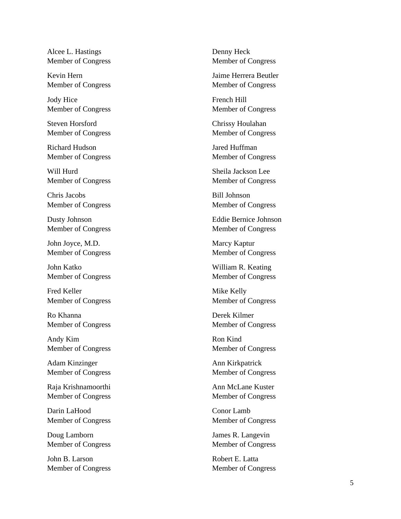Alcee L. Hastings Member of Congress

Kevin Hern Member of Congress

Jody Hice Member of Congress

Steven Horsford Member of Congress

Richard Hudson Member of Congress

Will Hurd Member of Congress

Chris Jacobs Member of Congress

Dusty Johnson Member of Congress

John Joyce, M.D. Member of Congress

John Katko Member of Congress

Fred Keller Member of Congress

Ro Khanna Member of Congress

Andy Kim Member of Congress

Adam Kinzinger Member of Congress

Raja Krishnamoorthi Member of Congress

Darin LaHood Member of Congress

Doug Lamborn Member of Congress

John B. Larson Member of Congress Denny Heck Member of Congress

Jaime Herrera Beutler Member of Congress

French Hill Member of Congress

Chrissy Houlahan Member of Congress

Jared Huffman Member of Congress

Sheila Jackson Lee Member of Congress

Bill Johnson Member of Congress

Eddie Bernice Johnson Member of Congress

Marcy Kaptur Member of Congress

William R. Keating Member of Congress

Mike Kelly Member of Congress

Derek Kilmer Member of Congress

Ron Kind Member of Congress

Ann Ki rkpatrick Member of Congress

Ann McLane Kuster Member of Congress

Conor Lamb Member of Congress

James R. Langevin Member of Congress

Robert E. Latta Member of Congress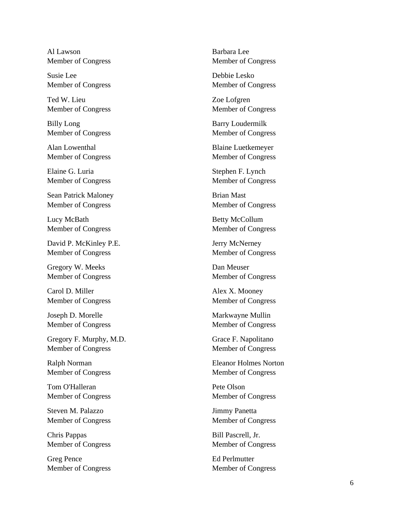Al Lawson Member of Congress

Susie Lee Member of Congress

Ted W. Lieu Member of Congress

Billy Long Member of Congress

Alan Lowenthal Member of Congress

Elaine G. Luria Member of Congress

Sean Patrick Maloney Member of Congress

Lucy McBath Member of Congress

David P. McKinley P.E. Member of Congress

Gregory W. Meeks Member of Congress

Carol D. Miller Member of Congress

Joseph D. Morelle Member of Congress

Gregory F. Murphy, M.D. Member of Congress

Ralph Norman Member of Congress

Tom O'Halleran Member of Congress

Steven M. Palazzo Member of Congress

Chris Pappas Member of Congress

Greg Pence Member of Congress Barbara Lee Member of Congress

Debbie Lesko Member of Congress

Zoe Lofgren Member of Congress

Barry Loudermilk Member of Congress

Blaine Luetkemeyer Member of Congress

Stephen F. Lynch Member of Congress

Brian Mast Member of Congress

Betty McCollum Member of Congress

Jerry McNerney Member of Congress

Dan Meuser Member of Congress

Alex X. Mooney Member of Congress

Markwayne Mullin Member of Congress

Grace F. Napolitano Member of Congress

Eleanor Holmes Norton Member of Congress

Pete Olson Member of Congress

Jimmy Panetta Member of Congress

Bill Pascrell, Jr. Member of Congress

Ed Perlmutter Member of Congress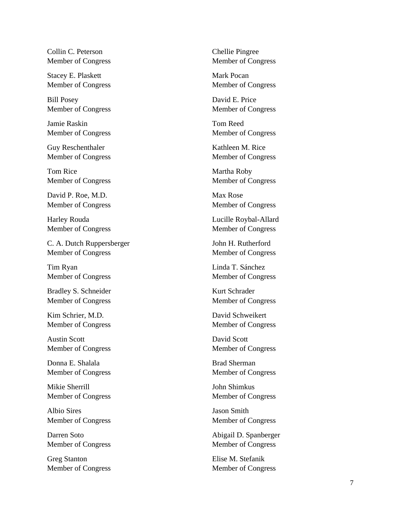Collin C. Peterson Member of Congress

Stacey E. Plaskett Member of Congress

Bill Posey Member of Congress

Jamie Raskin Member of Congress

Guy Reschenthaler Member of Congress

Tom Rice Member of Congress

David P. Roe, M.D. Member of Congress

Harley Rouda Member of Congress

C. A. Dutch Ruppersberger Member of Congress

Tim Ryan Member of Congress

Bradley S. Schneider Member of Congress

Kim Schrier, M.D. Member of Congress

Austin Scott Member of Congress

Donna E. Shalala Member of Congress

Mikie Sherrill Member of Congress

Albio Sires Member of Congress

Darren Soto Member of Congress

Greg Stanton Member of Congress Chellie Pingree Member of Congress

Mark Pocan Member of Congress

David E. Price Member of Congress

Tom Reed Member of Congress

Kathleen M. Rice Member of Congress

Martha Roby Member of Congress

Max Rose Member of Congress

Lucille Roybal -Allard Member of Congress

John H. Rutherford Member of Congress

Linda T. Sánchez Member of Congress

Kurt Schrader Member of Congress

David Schweikert Member of Congress

David Scott Member of Congress

Brad Sherman Member of Congress

John Shimkus Member of Congress

Jason Smith Member of Congress

Abigail D. Spanberger Member of Congress

Elise M. Stefanik Member of Congress